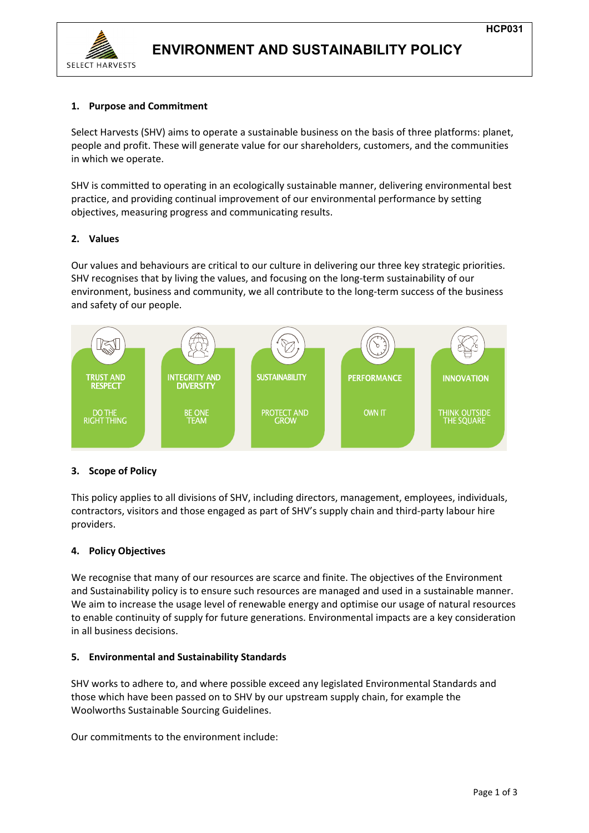

## **1. Purpose and Commitment**

Select Harvests (SHV) aims to operate a sustainable business on the basis of three platforms: planet, people and profit. These will generate value for our shareholders, customers, and the communities in which we operate.

SHV is committed to operating in an ecologically sustainable manner, delivering environmental best practice, and providing continual improvement of our environmental performance by setting objectives, measuring progress and communicating results.

## **2. Values**

Our values and behaviours are critical to our culture in delivering our three key strategic priorities. SHV recognises that by living the values, and focusing on the long-term sustainability of our environment, business and community, we all contribute to the long-term success of the business and safety of our people.



## **3. Scope of Policy**

This policy applies to all divisions of SHV, including directors, management, employees, individuals, contractors, visitors and those engaged as part of SHV's supply chain and third-party labour hire providers.

## **4. Policy Objectives**

We recognise that many of our resources are scarce and finite. The objectives of the Environment and Sustainability policy is to ensure such resources are managed and used in a sustainable manner. We aim to increase the usage level of renewable energy and optimise our usage of natural resources to enable continuity of supply for future generations. Environmental impacts are a key consideration in all business decisions.

## **5. Environmental and Sustainability Standards**

SHV works to adhere to, and where possible exceed any legislated Environmental Standards and those which have been passed on to SHV by our upstream supply chain, for example the Woolworths Sustainable Sourcing Guidelines.

Our commitments to the environment include: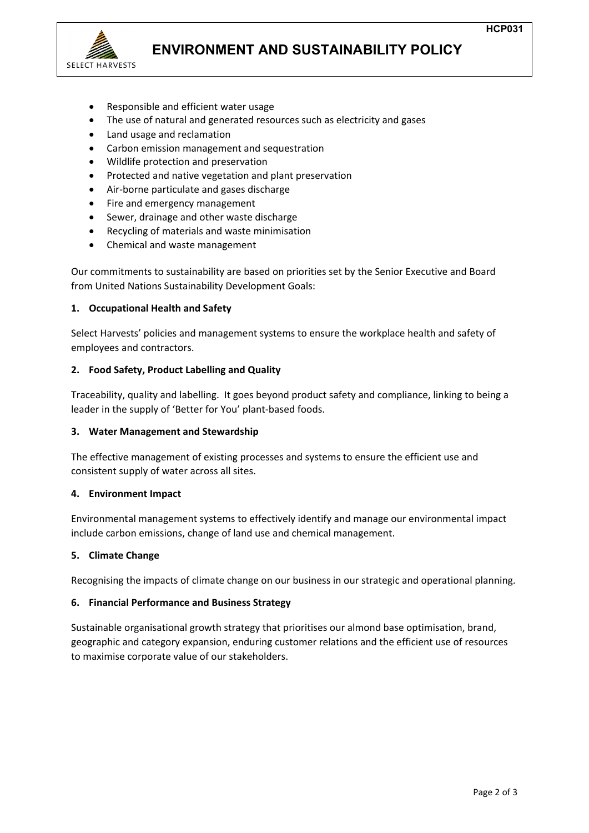

# **ENVIRONMENT AND SUSTAINABILITY POLICY**

- Responsible and efficient water usage
- The use of natural and generated resources such as electricity and gases
- Land usage and reclamation
- Carbon emission management and sequestration
- Wildlife protection and preservation
- Protected and native vegetation and plant preservation
- Air-borne particulate and gases discharge
- Fire and emergency management
- Sewer, drainage and other waste discharge
- Recycling of materials and waste minimisation
- Chemical and waste management

Our commitments to sustainability are based on priorities set by the Senior Executive and Board from United Nations Sustainability Development Goals:

#### **1. Occupational Health and Safety**

Select Harvests' policies and management systems to ensure the workplace health and safety of employees and contractors.

#### **2. Food Safety, Product Labelling and Quality**

Traceability, quality and labelling. It goes beyond product safety and compliance, linking to being a leader in the supply of 'Better for You' plant-based foods.

#### **3. Water Management and Stewardship**

The effective management of existing processes and systems to ensure the efficient use and consistent supply of water across all sites.

#### **4. Environment Impact**

Environmental management systems to effectively identify and manage our environmental impact include carbon emissions, change of land use and chemical management.

#### **5. Climate Change**

Recognising the impacts of climate change on our business in our strategic and operational planning.

#### **6. Financial Performance and Business Strategy**

Sustainable organisational growth strategy that prioritises our almond base optimisation, brand, geographic and category expansion, enduring customer relations and the efficient use of resources to maximise corporate value of our stakeholders.